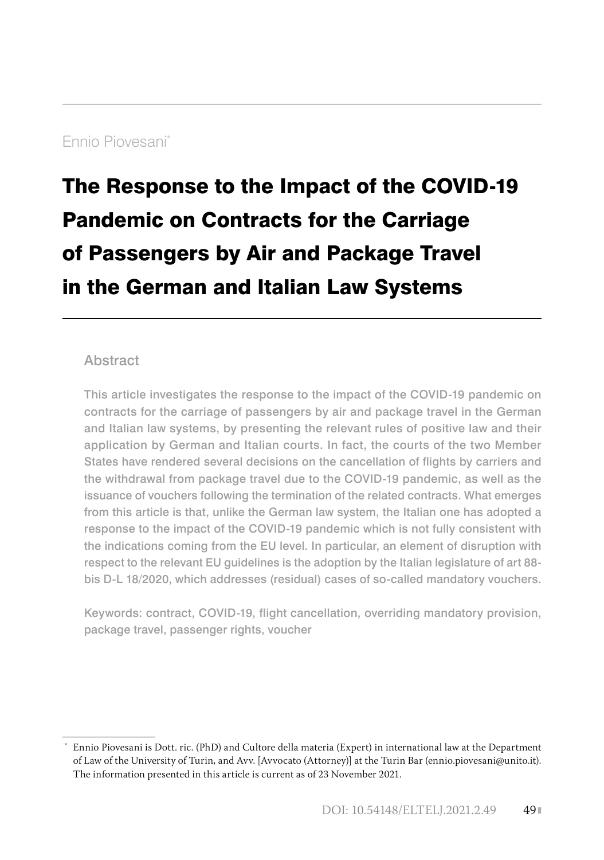# Ennio Piovesani\*1

# The Response to the Impact of the COVID-19 Pandemic on Contracts for the Carriage of Passengers by Air and Package Travel in the German and Italian Law Systems

#### Abstract

This article investigates the response to the impact of the COVID-19 pandemic on contracts for the carriage of passengers by air and package travel in the German and Italian law systems, by presenting the relevant rules of positive law and their application by German and Italian courts. In fact, the courts of the two Member States have rendered several decisions on the cancellation of flights by carriers and the withdrawal from package travel due to the COVID-19 pandemic, as well as the issuance of vouchers following the termination of the related contracts. What emerges from this article is that, unlike the German law system, the Italian one has adopted a response to the impact of the COVID-19 pandemic which is not fully consistent with the indications coming from the EU level. In particular, an element of disruption with respect to the relevant EU guidelines is the adoption by the Italian legislature of art 88 bis D-L 18/2020, which addresses (residual) cases of so-called mandatory vouchers.

Keywords: contract, COVID-19, flight cancellation, overriding mandatory provision, package travel, passenger rights, voucher

 <sup>\*</sup> Ennio Piovesani is Dott. ric. (PhD) and Cultore della materia (Expert) in international law at the Department of Law of the University of Turin, and Avv. [Avvocato (Attorney)] at the Turin Bar (ennio.piovesani@unito.it). The information presented in this article is current as of 23 November 2021.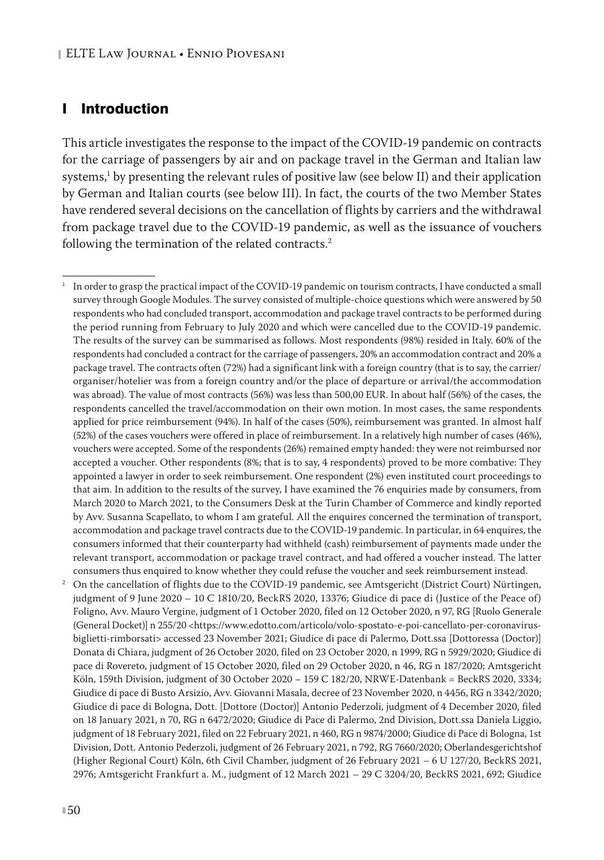## I Introduction

This article investigates the response to the impact of the COVID-19 pandemic on contracts for the carriage of passengers by air and on package travel in the German and Italian law systems, $^1$  by presenting the relevant rules of positive law (see below II) and their application by German and Italian courts (see below III). In fact, the courts of the two Member States have rendered several decisions on the cancellation of flights by carriers and the withdrawal from package travel due to the COVID-19 pandemic, as well as the issuance of vouchers following the termination of the related contracts.<sup>2</sup>

<sup>2</sup> On the cancellation of flights due to the COVID-19 pandemic, see Amtsgericht (District Court) Nürtingen, judgment of 9 June 2020 – 10 C 1810/20, BeckRS 2020, 13376; Giudice di pace di (Justice of the Peace of) Foligno, Avv. Mauro Vergine, judgment of 1 October 2020, filed on 12 October 2020, n 97, RG [Ruolo Generale (General Docket)] n 255/20 <https://www.edotto.com/articolo/volo-spostato-e-poi-cancellato-per-coronavirusbiglietti-rimborsati> accessed 23 November 2021; Giudice di pace di Palermo, Dott.ssa [Dottoressa (Doctor)] Donata di Chiara, judgment of 26 October 2020, filed on 23 October 2020, n 1999, RG n 5929/2020; Giudice di pace di Rovereto, judgment of 15 October 2020, filed on 29 October 2020, n 46, RG n 187/2020; Amtsgericht Köln, 159th Division, judgment of 30 October 2020 – 159 C 182/20, NRWE-Datenbank = BeckRS 2020, 3334; Giudice di pace di Busto Arsizio, Avv. Giovanni Masala, decree of 23 November 2020, n 4456, RG n 3342/2020; Giudice di pace di Bologna, Dott. [Dottore (Doctor)] Antonio Pederzoli, judgment of 4 December 2020, filed on 18 January 2021, n 70, RG n 6472/2020; Giudice di Pace di Palermo, 2nd Division, Dott.ssa Daniela Liggio, judgment of 18 February 2021, filed on 22 February 2021, n 460, RG n 9874/2000; Giudice di Pace di Bologna, 1st Division, Dott. Antonio Pederzoli, judgment of 26 February 2021, n 792, RG 7660/2020; Oberlandesgerichtshof (Higher Regional Court) Köln, 6th Civil Chamber, judgment of 26 February 2021 – 6 U 127/20, BeckRS 2021, 2976; Amtsgericht Frankfurt a. M., judgment of 12 March 2021 – 29 C 3204/20, BeckRS 2021, 692; Giudice

<sup>1</sup> In order to grasp the practical impact of the COVID-19 pandemic on tourism contracts, I have conducted a small survey through Google Modules. The survey consisted of multiple-choice questions which were answered by 50 respondents who had concluded transport, accommodation and package travel contracts to be performed during the period running from February to July 2020 and which were cancelled due to the COVID-19 pandemic. The results of the survey can be summarised as follows. Most respondents (98%) resided in Italy. 60% of the respondents had concluded a contract for the carriage of passengers, 20% an accommodation contract and 20% a package travel. The contracts often (72%) had a significant link with a foreign country (that is to say, the carrier/ organiser/hotelier was from a foreign country and/or the place of departure or arrival/the accommodation was abroad). The value of most contracts (56%) was less than 500,00 EUR. In about half (56%) of the cases, the respondents cancelled the travel/accommodation on their own motion. In most cases, the same respondents applied for price reimbursement (94%). In half of the cases (50%), reimbursement was granted. In almost half (52%) of the cases vouchers were offered in place of reimbursement. In a relatively high number of cases (46%), vouchers were accepted. Some of the respondents (26%) remained empty handed: they were not reimbursed nor accepted a voucher. Other respondents (8%; that is to say, 4 respondents) proved to be more combative: They appointed a lawyer in order to seek reimbursement. One respondent (2%) even instituted court proceedings to that aim. In addition to the results of the survey, I have examined the 76 enquiries made by consumers, from March 2020 to March 2021, to the Consumers Desk at the Turin Chamber of Commerce and kindly reported by Avv. Susanna Scapellato, to whom I am grateful. All the enquires concerned the termination of transport, accommodation and package travel contracts due to the COVID-19 pandemic. In particular, in 64 enquires, the consumers informed that their counterparty had withheld (cash) reimbursement of payments made under the relevant transport, accommodation or package travel contract, and had offered a voucher instead. The latter consumers thus enquired to know whether they could refuse the voucher and seek reimbursement instead.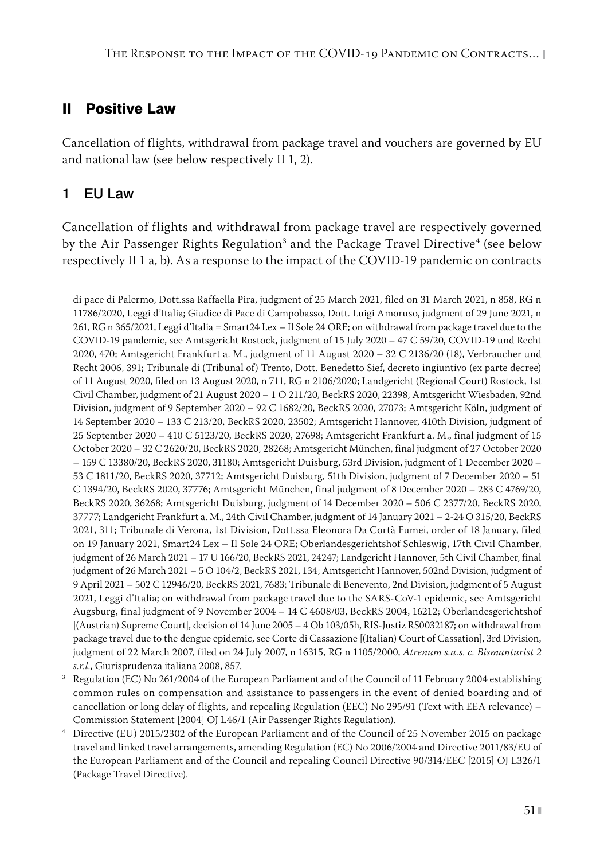## II Positive Law

Cancellation of flights, withdrawal from package travel and vouchers are governed by EU and national law (see below respectively II 1, 2).

## 1 EU Law

Cancellation of flights and withdrawal from package travel are respectively governed by the Air Passenger Rights Regulation<sup>3</sup> and the Package Travel Directive<sup>4</sup> (see below respectively II 1 a, b). As a response to the impact of the COVID-19 pandemic on contracts

di pace di Palermo, Dott.ssa Raffaella Pira, judgment of 25 March 2021, filed on 31 March 2021, n 858, RG n 11786/2020, Leggi d'Italia; Giudice di Pace di Campobasso, Dott. Luigi Amoruso, judgment of 29 June 2021, n 261, RG n 365/2021, Leggi d'Italia = Smart24 Lex – Il Sole 24 ORE; on withdrawal from package travel due to the COVID-19 pandemic, see Amtsgericht Rostock, judgment of 15 July 2020 – 47 C 59/20, COVID-19 und Recht 2020, 470; Amtsgericht Frankfurt a. M., judgment of 11 August 2020 – 32 C 2136/20 (18), Verbraucher und Recht 2006, 391; Tribunale di (Tribunal of) Trento, Dott. Benedetto Sief, decreto ingiuntivo (ex parte decree) of 11 August 2020, filed on 13 August 2020, n 711, RG n 2106/2020; Landgericht (Regional Court) Rostock, 1st Civil Chamber, judgment of 21 August 2020 – 1 O 211/20, BeckRS 2020, 22398; Amtsgericht Wiesbaden, 92nd Division, judgment of 9 September 2020 – 92 C 1682/20, BeckRS 2020, 27073; Amtsgericht Köln, judgment of 14 September 2020 – 133 C 213/20, BeckRS 2020, 23502; Amtsgericht Hannover, 410th Division, judgment of 25 September 2020 – 410 C 5123/20, BeckRS 2020, 27698; Amtsgericht Frankfurt a. M., final judgment of 15 October 2020 – 32 C 2620/20, BeckRS 2020, 28268; Amtsgericht München, final judgment of 27 October 2020 – 159 C 13380/20, BeckRS 2020, 31180; Amtsgericht Duisburg, 53rd Division, judgment of 1 December 2020 – 53 C 1811/20, BeckRS 2020, 37712; Amtsgericht Duisburg, 51th Division, judgment of 7 December 2020 – 51 C 1394/20, BeckRS 2020, 37776; Amtsgericht München, final judgment of 8 December 2020 – 283 C 4769/20, BeckRS 2020, 36268; Amtsgericht Duisburg, judgment of 14 December 2020 – 506 C 2377/20, BeckRS 2020, 37777; Landgericht Frankfurt a. M., 24th Civil Chamber, judgment of 14 January 2021 – 2-24 O 315/20, BeckRS 2021, 311; Tribunale di Verona, 1st Division, Dott.ssa Eleonora Da Cortà Fumei, order of 18 January, filed on 19 January 2021, Smart24 Lex – Il Sole 24 ORE; Oberlandesgerichtshof Schleswig, 17th Civil Chamber, judgment of 26 March 2021 – 17 U 166/20, BeckRS 2021, 24247; Landgericht Hannover, 5th Civil Chamber, final judgment of 26 March 2021 – 5 O 104/2, BeckRS 2021, 134; Amtsgericht Hannover, 502nd Division, judgment of 9 April 2021 – 502 C 12946/20, BeckRS 2021, 7683; Tribunale di Benevento, 2nd Division, judgment of 5 August 2021, Leggi d'Italia; on withdrawal from package travel due to the SARS-CoV-1 epidemic, see Amtsgericht Augsburg, final judgment of 9 November 2004 – 14 C 4608/03, BeckRS 2004, 16212; Oberlandesgerichtshof [(Austrian) Supreme Court], decision of 14 June 2005 – 4 Ob 103/05h, RIS-Justiz RS0032187; on withdrawal from package travel due to the dengue epidemic, see Corte di Cassazione [(Italian) Court of Cassation], 3rd Division, judgment of 22 March 2007, filed on 24 July 2007, n 16315, RG n 1105/2000, *Atrenum s.a.s. c. Bismanturist 2 s.r.l.*, Giurisprudenza italiana 2008, 857.

<sup>&</sup>lt;sup>3</sup> Regulation (EC) No 261/2004 of the European Parliament and of the Council of 11 February 2004 establishing common rules on compensation and assistance to passengers in the event of denied boarding and of cancellation or long delay of flights, and repealing Regulation (EEC) No 295/91 (Text with EEA relevance) – Commission Statement [2004] OJ L46/1 (Air Passenger Rights Regulation).

<sup>4</sup> Directive (EU) 2015/2302 of the European Parliament and of the Council of 25 November 2015 on package travel and linked travel arrangements, amending Regulation (EC) No 2006/2004 and Directive 2011/83/EU of the European Parliament and of the Council and repealing Council Directive 90/314/EEC [2015] OJ L326/1 (Package Travel Directive).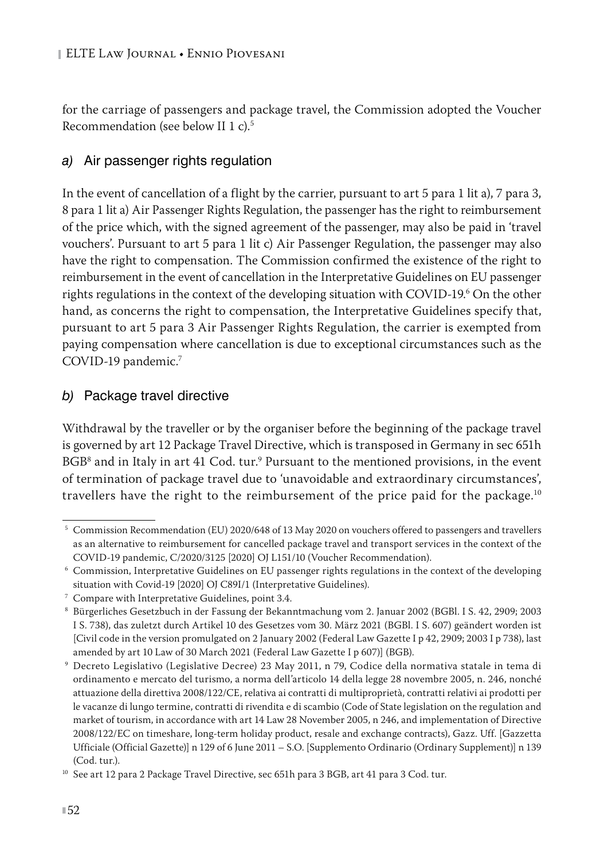for the carriage of passengers and package travel, the Commission adopted the Voucher Recommendation (see below II 1 c).5

#### *a)* Air passenger rights regulation

In the event of cancellation of a flight by the carrier, pursuant to art 5 para 1 lit a), 7 para 3, 8 para 1 lit a) Air Passenger Rights Regulation, the passenger has the right to reimbursement of the price which, with the signed agreement of the passenger, may also be paid in 'travel vouchers'. Pursuant to art 5 para 1 lit c) Air Passenger Regulation, the passenger may also have the right to compensation. The Commission confirmed the existence of the right to reimbursement in the event of cancellation in the Interpretative Guidelines on EU passenger rights regulations in the context of the developing situation with COVID-19.6 On the other hand, as concerns the right to compensation, the Interpretative Guidelines specify that, pursuant to art 5 para 3 Air Passenger Rights Regulation, the carrier is exempted from paying compensation where cancellation is due to exceptional circumstances such as the COVID-19 pandemic.7

#### *b)* Package travel directive

Withdrawal by the traveller or by the organiser before the beginning of the package travel is governed by art 12 Package Travel Directive, which is transposed in Germany in sec 651h BGB<sup>8</sup> and in Italy in art 41 Cod. tur.<sup>9</sup> Pursuant to the mentioned provisions, in the event of termination of package travel due to 'unavoidable and extraordinary circumstances', travellers have the right to the reimbursement of the price paid for the package.<sup>10</sup>

<sup>5</sup> Commission Recommendation (EU) 2020/648 of 13 May 2020 on vouchers offered to passengers and travellers as an alternative to reimbursement for cancelled package travel and transport services in the context of the COVID-19 pandemic, C/2020/3125 [2020] OJ L151/10 (Voucher Recommendation).

<sup>6</sup> Commission, Interpretative Guidelines on EU passenger rights regulations in the context of the developing situation with Covid-19 [2020] OJ C89I/1 (Interpretative Guidelines).

<sup>7</sup> Compare with Interpretative Guidelines, point 3.4.

<sup>8</sup> Bürgerliches Gesetzbuch in der Fassung der Bekanntmachung vom 2. Januar 2002 (BGBl. I S. 42, 2909; 2003 I S. 738), das zuletzt durch Artikel 10 des Gesetzes vom 30. März 2021 (BGBl. I S. 607) geändert worden ist [Civil code in the version promulgated on 2 January 2002 (Federal Law Gazette I p 42, 2909; 2003 I p 738), last amended by art 10 Law of 30 March 2021 (Federal Law Gazette I p 607)] (BGB).

<sup>9</sup> Decreto Legislativo (Legislative Decree) 23 May 2011, n 79, Codice della normativa statale in tema di ordinamento e mercato del turismo, a norma dell'articolo 14 della legge 28 novembre 2005, n. 246, nonché attuazione della direttiva 2008/122/CE, relativa ai contratti di multiproprietà, contratti relativi ai prodotti per le vacanze di lungo termine, contratti di rivendita e di scambio (Code of State legislation on the regulation and market of tourism, in accordance with art 14 Law 28 November 2005, n 246, and implementation of Directive 2008/122/EC on timeshare, long-term holiday product, resale and exchange contracts), Gazz. Uff. [Gazzetta Ufficiale (Official Gazette)] n 129 of 6 June 2011 – S.O. [Supplemento Ordinario (Ordinary Supplement)] n 139 (Cod. tur.).

<sup>&</sup>lt;sup>10</sup> See art 12 para 2 Package Travel Directive, sec 651h para 3 BGB, art 41 para 3 Cod. tur.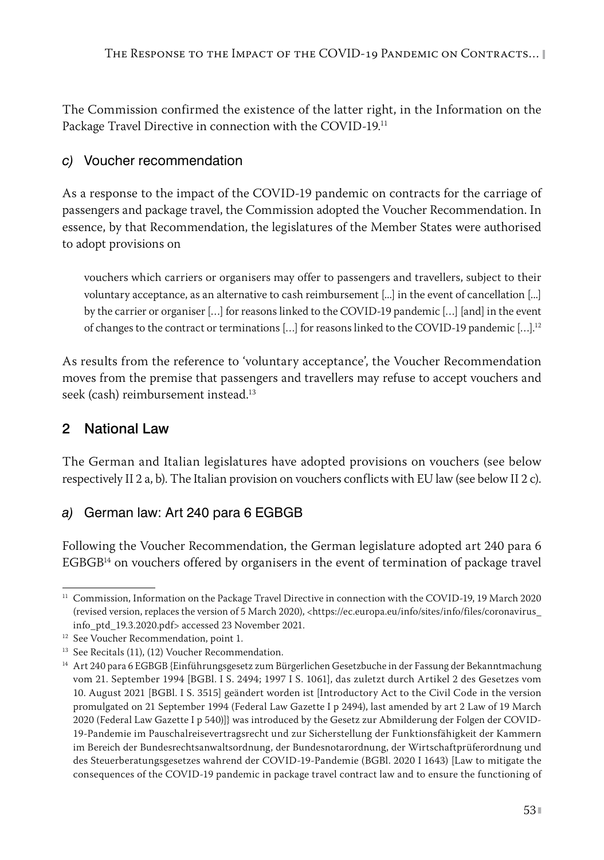The Commission confirmed the existence of the latter right, in the Information on the Package Travel Directive in connection with the COVID-19.11

## *c)* Voucher recommendation

As a response to the impact of the COVID-19 pandemic on contracts for the carriage of passengers and package travel, the Commission adopted the Voucher Recommendation. In essence, by that Recommendation, the legislatures of the Member States were authorised to adopt provisions on

vouchers which carriers or organisers may offer to passengers and travellers, subject to their voluntary acceptance, as an alternative to cash reimbursement [...] in the event of cancellation [...] by the carrier or organiser […] for reasons linked to the COVID-19 pandemic […] [and] in the event of changes to the contract or terminations […] for reasons linked to the COVID-19 pandemic […].12

As results from the reference to 'voluntary acceptance', the Voucher Recommendation moves from the premise that passengers and travellers may refuse to accept vouchers and seek (cash) reimbursement instead.<sup>13</sup>

# 2 National Law

The German and Italian legislatures have adopted provisions on vouchers (see below respectively II 2 a, b). The Italian provision on vouchers conflicts with EU law (see below II 2 c).

# *a)* German law: Art 240 para 6 EGBGB

Following the Voucher Recommendation, the German legislature adopted art 240 para 6  $EGBGP<sup>14</sup>$  on vouchers offered by organisers in the event of termination of package travel

 $11$  Commission, Information on the Package Travel Directive in connection with the COVID-19, 19 March 2020 (revised version, replaces the version of 5 March 2020), <https://ec.europa.eu/info/sites/info/files/coronavirus\_ info\_ptd\_19.3.2020.pdf> accessed 23 November 2021.

<sup>&</sup>lt;sup>12</sup> See Voucher Recommendation, point 1.

<sup>&</sup>lt;sup>13</sup> See Recitals (11), (12) Voucher Recommendation.

<sup>14</sup> Art 240 para 6 EGBGB {Einführungsgesetz zum Bürgerlichen Gesetzbuche in der Fassung der Bekanntmachung vom 21. September 1994 [BGBl. I S. 2494; 1997 I S. 1061], das zuletzt durch Artikel 2 des Gesetzes vom 10. August 2021 [BGBl. I S. 3515] geändert worden ist [Introductory Act to the Civil Code in the version promulgated on 21 September 1994 (Federal Law Gazette I p 2494), last amended by art 2 Law of 19 March 2020 (Federal Law Gazette I p 540)]} was introduced by the Gesetz zur Abmilderung der Folgen der COVID-19-Pandemie im Pauschalreisevertragsrecht und zur Sicherstellung der Funktionsfähigkeit der Kammern im Bereich der Bundesrechtsanwaltsordnung, der Bundesnotarordnung, der Wirtschaftprüferordnung und des Steuerberatungsgesetzes wahrend der COVID-19-Pandemie (BGBl. 2020 I 1643) [Law to mitigate the consequences of the COVID-19 pandemic in package travel contract law and to ensure the functioning of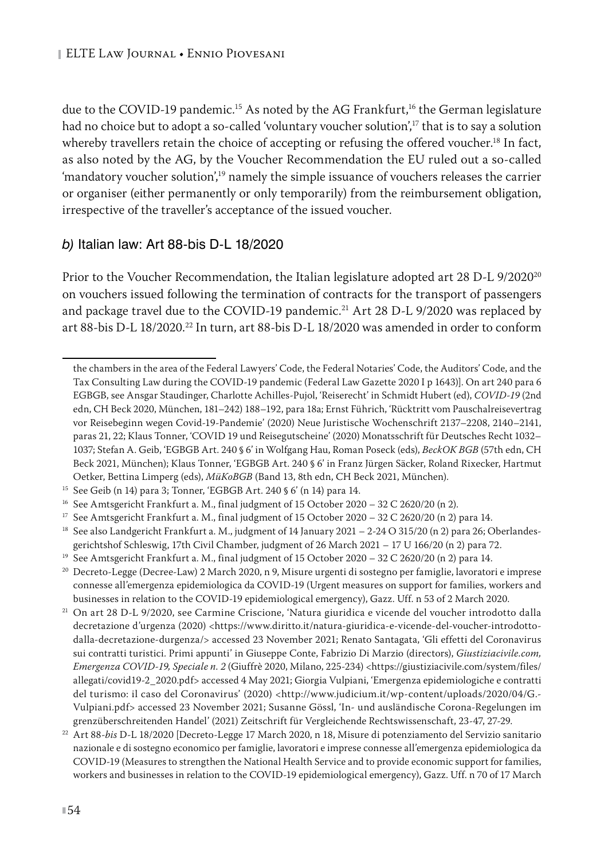due to the COVID-19 pandemic.<sup>15</sup> As noted by the AG Frankfurt,<sup>16</sup> the German legislature had no choice but to adopt a so-called 'voluntary voucher solution',<sup>17</sup> that is to say a solution whereby travellers retain the choice of accepting or refusing the offered voucher.<sup>18</sup> In fact, as also noted by the AG, by the Voucher Recommendation the EU ruled out a so-called 'mandatory voucher solution',19 namely the simple issuance of vouchers releases the carrier or organiser (either permanently or only temporarily) from the reimbursement obligation, irrespective of the traveller's acceptance of the issued voucher.

#### *b)* Italian law: Art 88-bis D-L 18/2020

Prior to the Voucher Recommendation, the Italian legislature adopted art 28 D-L 9/2020<sup>20</sup> on vouchers issued following the termination of contracts for the transport of passengers and package travel due to the COVID-19 pandemic.<sup>21</sup> Art 28 D-L 9/2020 was replaced by art 88-bis D-L 18/2020.22 In turn, art 88-bis D-L 18/2020 was amended in order to conform

the chambers in the area of the Federal Lawyers' Code, the Federal Notaries' Code, the Auditors' Code, and the Tax Consulting Law during the COVID-19 pandemic (Federal Law Gazette 2020 I p 1643)]. On art 240 para 6 EGBGB, see Ansgar Staudinger, Charlotte Achilles-Pujol, 'Reiserecht' in Schmidt Hubert (ed), *COVID-19* (2nd edn, CH Beck 2020, München, 181–242) 188–192, para 18a; Ernst Führich, 'Rücktritt vom Pauschalreisevertrag vor Reisebeginn wegen Covid-19-Pandemie' (2020) Neue Juristische Wochenschrift 2137–2208, 2140–2141, paras 21, 22; Klaus Tonner, 'COVID 19 und Reisegutscheine' (2020) Monatsschrift für Deutsches Recht 1032– 1037; Stefan A. Geib, 'EGBGB Art. 240 § 6' in Wolfgang Hau, Roman Poseck (eds), *BeckOK BGB* (57th edn, CH Beck 2021, München); Klaus Tonner, 'EGBGB Art. 240 § 6' in Franz Jürgen Säcker, Roland Rixecker, Hartmut Oetker, Bettina Limperg (eds), *MüKoBGB* (Band 13, 8th edn, CH Beck 2021, München).

<sup>15</sup> See Geib (n 14) para 3; Tonner, 'EGBGB Art. 240 § 6' (n 14) para 14.

<sup>&</sup>lt;sup>16</sup> See Amtsgericht Frankfurt a. M., final judgment of 15 October 2020 – 32 C 2620/20 (n 2).<br><sup>17</sup> See Amtsgericht Frankfurt a. M., final judgment of 15 October 2020 – 32 C 2620/20 (n 2).

See Amtsgericht Frankfurt a. M., final judgment of 15 October 2020 – 32 C 2620/20 (n 2) para 14.

<sup>&</sup>lt;sup>18</sup> See also Landgericht Frankfurt a. M., judgment of 14 January 2021 – 2-24 O 315/20 (n 2) para 26; Oberlandesgerichtshof Schleswig, 17th Civil Chamber, judgment of 26 March 2021 – 17 U 166/20 (n 2) para 72.

<sup>&</sup>lt;sup>19</sup> See Amtsgericht Frankfurt a. M., final judgment of 15 October 2020 - 32 C 2620/20 (n 2) para 14.

<sup>&</sup>lt;sup>20</sup> Decreto-Legge (Decree-Law) 2 March 2020, n 9, Misure urgenti di sostegno per famiglie, lavoratori e imprese connesse all'emergenza epidemiologica da COVID-19 (Urgent measures on support for families, workers and businesses in relation to the COVID-19 epidemiological emergency), Gazz. Uff. n 53 of 2 March 2020.

<sup>21</sup> On art 28 D-L 9/2020, see Carmine Criscione, 'Natura giuridica e vicende del voucher introdotto dalla decretazione d'urgenza (2020) <https://www.diritto.it/natura-giuridica-e-vicende-del-voucher-introdottodalla-decretazione-durgenza/> accessed 23 November 2021; Renato Santagata, 'Gli effetti del Coronavirus sui contratti turistici. Primi appunti' in Giuseppe Conte, Fabrizio Di Marzio (directors), *Giustiziacivile.com, Emergenza COVID-19, Speciale n. 2* (Giuffrè 2020, Milano, 225-234) <https://giustiziacivile.com/system/files/ allegati/covid19-2\_2020.pdf> accessed 4 May 2021; Giorgia Vulpiani, 'Emergenza epidemiologiche e contratti del turismo: il caso del Coronavirus' (2020) <http://www.judicium.it/wp-content/uploads/2020/04/G.-Vulpiani.pdf> accessed 23 November 2021; Susanne Gössl, 'In- und ausländische Corona-Regelungen im grenzüberschreitenden Handel' (2021) Zeitschrift für Vergleichende Rechtswissenschaft, 23-47, 27-29.

<sup>22</sup> Art 88-*bis* D-L 18/2020 [Decreto-Legge 17 March 2020, n 18, Misure di potenziamento del Servizio sanitario nazionale e di sostegno economico per famiglie, lavoratori e imprese connesse all'emergenza epidemiologica da COVID-19 (Measures to strengthen the National Health Service and to provide economic support for families, workers and businesses in relation to the COVID-19 epidemiological emergency), Gazz. Uff. n 70 of 17 March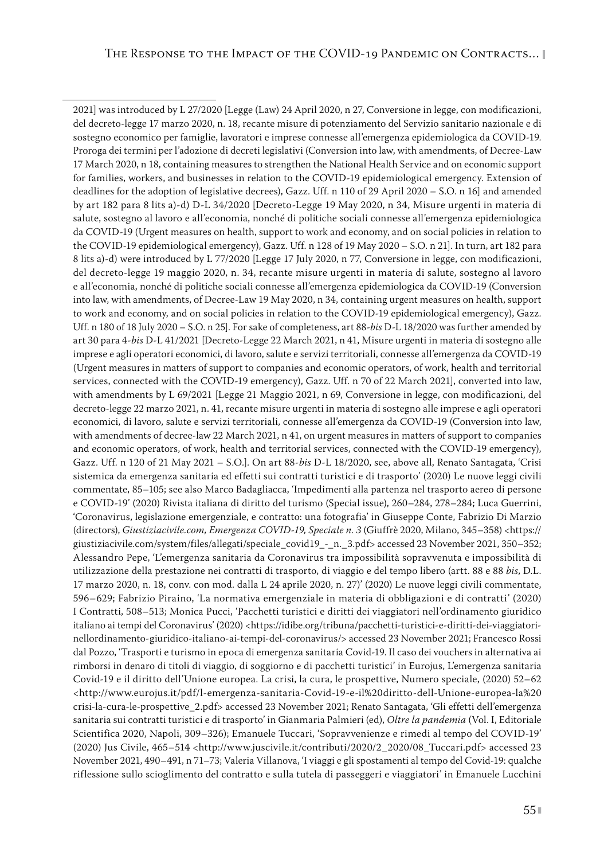2021] was introduced by L 27/2020 [Legge (Law) 24 April 2020, n 27, Conversione in legge, con modificazioni, del decreto-legge 17 marzo 2020, n. 18, recante misure di potenziamento del Servizio sanitario nazionale e di sostegno economico per famiglie, lavoratori e imprese connesse all'emergenza epidemiologica da COVID-19. Proroga dei termini per l'adozione di decreti legislativi (Conversion into law, with amendments, of Decree-Law 17 March 2020, n 18, containing measures to strengthen the National Health Service and on economic support for families, workers, and businesses in relation to the COVID-19 epidemiological emergency. Extension of deadlines for the adoption of legislative decrees), Gazz. Uff. n 110 of 29 April 2020 – S.O. n 16] and amended by art 182 para 8 lits a)-d) D-L 34/2020 [Decreto-Legge 19 May 2020, n 34, Misure urgenti in materia di salute, sostegno al lavoro e all'economia, nonché di politiche sociali connesse all'emergenza epidemiologica da COVID-19 (Urgent measures on health, support to work and economy, and on social policies in relation to the COVID-19 epidemiological emergency), Gazz. Uff. n 128 of 19 May 2020 – S.O. n 21]. In turn, art 182 para 8 lits a)-d) were introduced by L 77/2020 [Legge 17 July 2020, n 77, Conversione in legge, con modificazioni, del decreto-legge 19 maggio 2020, n. 34, recante misure urgenti in materia di salute, sostegno al lavoro e all'economia, nonché di politiche sociali connesse all'emergenza epidemiologica da COVID-19 (Conversion into law, with amendments, of Decree-Law 19 May 2020, n 34, containing urgent measures on health, support to work and economy, and on social policies in relation to the COVID-19 epidemiological emergency), Gazz. Uff. n 180 of 18 July 2020 – S.O. n 25]. For sake of completeness, art 88-*bis* D-L 18/2020 was further amended by art 30 para 4-*bis* D-L 41/2021 [Decreto-Legge 22 March 2021, n 41, Misure urgenti in materia di sostegno alle imprese e agli operatori economici, di lavoro, salute e servizi territoriali, connesse all'emergenza da COVID-19 (Urgent measures in matters of support to companies and economic operators, of work, health and territorial services, connected with the COVID-19 emergency), Gazz. Uff. n 70 of 22 March 2021], converted into law, with amendments by L 69/2021 [Legge 21 Maggio 2021, n 69, Conversione in legge, con modificazioni, del decreto-legge 22 marzo 2021, n. 41, recante misure urgenti in materia di sostegno alle imprese e agli operatori economici, di lavoro, salute e servizi territoriali, connesse all'emergenza da COVID-19 (Conversion into law, with amendments of decree-law 22 March 2021, n 41, on urgent measures in matters of support to companies and economic operators, of work, health and territorial services, connected with the COVID-19 emergency), Gazz. Uff. n 120 of 21 May 2021 – S.O.]. On art 88-*bis* D-L 18/2020, see, above all, Renato Santagata, 'Crisi sistemica da emergenza sanitaria ed effetti sui contratti turistici e di trasporto' (2020) Le nuove leggi civili commentate, 85–105; see also Marco Badagliacca, 'Impedimenti alla partenza nel trasporto aereo di persone e COVID-19' (2020) Rivista italiana di diritto del turismo (Special issue), 260–284, 278–284; Luca Guerrini, 'Coronavirus, legislazione emergenziale, e contratto: una fotografia' in Giuseppe Conte, Fabrizio Di Marzio (directors), *Giustiziacivile.com, Emergenza COVID-19, Speciale n. 3* (Giuffrè 2020, Milano, 345–358) <https:// giustiziacivile.com/system/files/allegati/speciale\_covid19\_-\_n.\_3.pdf> accessed 23 November 2021, 350–352; Alessandro Pepe, 'L'emergenza sanitaria da Coronavirus tra impossibilità sopravvenuta e impossibilità di utilizzazione della prestazione nei contratti di trasporto, di viaggio e del tempo libero (artt. 88 e 88 *bis*, D.L. 17 marzo 2020, n. 18, conv. con mod. dalla L 24 aprile 2020, n. 27)' (2020) Le nuove leggi civili commentate, 596–629; Fabrizio Piraino, 'La normativa emergenziale in materia di obbligazioni e di contratti' (2020) I Contratti, 508–513; Monica Pucci, 'Pacchetti turistici e diritti dei viaggiatori nell'ordinamento giuridico italiano ai tempi del Coronavirus' (2020) <https://idibe.org/tribuna/pacchetti-turistici-e-diritti-dei-viaggiatorinellordinamento-giuridico-italiano-ai-tempi-del-coronavirus/> accessed 23 November 2021; Francesco Rossi dal Pozzo, 'Trasporti e turismo in epoca di emergenza sanitaria Covid-19. Il caso dei vouchers in alternativa ai rimborsi in denaro di titoli di viaggio, di soggiorno e di pacchetti turistici' in Eurojus, L'emergenza sanitaria Covid-19 e il diritto dell'Unione europea. La crisi, la cura, le prospettive, Numero speciale, (2020) 52–62 <http://www.eurojus.it/pdf/l-emergenza-sanitaria-Covid-19-e-il%20diritto-dell-Unione-europea-la%20 crisi-la-cura-le-prospettive\_2.pdf> accessed 23 November 2021; Renato Santagata, 'Gli effetti dell'emergenza sanitaria sui contratti turistici e di trasporto' in Gianmaria Palmieri (ed), *Oltre la pandemia* (Vol. I, Editoriale Scientifica 2020, Napoli, 309–326); Emanuele Tuccari, 'Sopravvenienze e rimedi al tempo del COVID-19' (2020) Jus Civile, 465–514 <http://www.juscivile.it/contributi/2020/2\_2020/08\_Tuccari.pdf> accessed 23 November 2021, 490–491, n 71–73; Valeria Villanova, 'I viaggi e gli spostamenti al tempo del Covid-19: qualche riflessione sullo scioglimento del contratto e sulla tutela di passeggeri e viaggiatori' in Emanuele Lucchini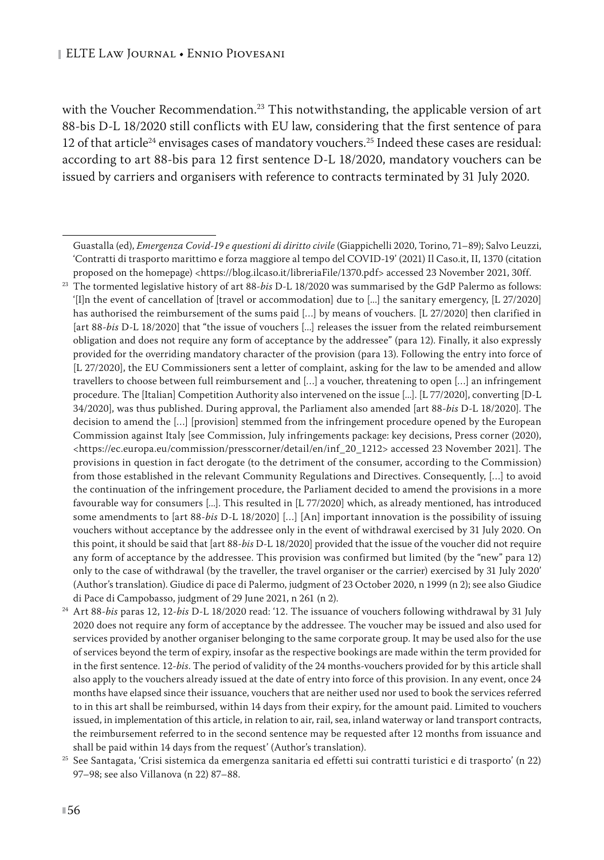with the Voucher Recommendation.<sup>23</sup> This notwithstanding, the applicable version of art 88-bis D-L 18/2020 still conflicts with EU law, considering that the first sentence of para 12 of that article<sup>24</sup> envisages cases of mandatory vouchers.<sup>25</sup> Indeed these cases are residual: according to art 88-bis para 12 first sentence D-L 18/2020, mandatory vouchers can be issued by carriers and organisers with reference to contracts terminated by 31 July 2020.

Guastalla (ed), *Emergenza Covid-19 e questioni di diritto civile* (Giappichelli 2020, Torino, 71–89); Salvo Leuzzi, 'Contratti di trasporto marittimo e forza maggiore al tempo del COVID-19' (2021) Il Caso.it, II, 1370 (citation proposed on the homepage) <<https://blog.ilcaso.it/libreriaFile/1370.pdf>> accessed 23 November 2021, 30ff.

<sup>23</sup> The tormented legislative history of art 88-*bis* D-L 18/2020 was summarised by the GdP Palermo as follows: '[I]n the event of cancellation of [travel or accommodation] due to [...] the sanitary emergency, [L 27/2020] has authorised the reimbursement of the sums paid [...] by means of vouchers. [L 27/2020] then clarified in [art 88-*bis* D-L 18/2020] that "the issue of vouchers [...] releases the issuer from the related reimbursement obligation and does not require any form of acceptance by the addressee" (para 12). Finally, it also expressly provided for the overriding mandatory character of the provision (para 13). Following the entry into force of [L 27/2020], the EU Commissioners sent a letter of complaint, asking for the law to be amended and allow travellers to choose between full reimbursement and […] a voucher, threatening to open […] an infringement procedure. The [Italian] Competition Authority also intervened on the issue [...]. [L 77/2020], converting [D-L 34/2020], was thus published. During approval, the Parliament also amended [art 88-*bis* D-L 18/2020]. The decision to amend the […] [provision] stemmed from the infringement procedure opened by the European Commission against Italy [see Commission, July infringements package: key decisions, Press corner (2020), <https://ec.europa.eu/commission/presscorner/detail/en/inf\_20\_1212> accessed 23 November 2021]. The provisions in question in fact derogate (to the detriment of the consumer, according to the Commission) from those established in the relevant Community Regulations and Directives. Consequently, […] to avoid the continuation of the infringement procedure, the Parliament decided to amend the provisions in a more favourable way for consumers [...]. This resulted in [L 77/2020] which, as already mentioned, has introduced some amendments to [art 88-*bis* D-L 18/2020] […] [An] important innovation is the possibility of issuing vouchers without acceptance by the addressee only in the event of withdrawal exercised by 31 July 2020. On this point, it should be said that [art 88-*bis* D-L 18/2020] provided that the issue of the voucher did not require any form of acceptance by the addressee. This provision was confirmed but limited (by the "new" para 12) only to the case of withdrawal (by the traveller, the travel organiser or the carrier) exercised by 31 July 2020' (Author's translation). Giudice di pace di Palermo, judgment of 23 October 2020, n 1999 (n 2); see also Giudice di Pace di Campobasso, judgment of 29 June 2021, n 261 (n 2).

<sup>24</sup> Art 88-*bis* paras 12, 12-*bis* D-L 18/2020 read: '12. The issuance of vouchers following withdrawal by 31 July 2020 does not require any form of acceptance by the addressee. The voucher may be issued and also used for services provided by another organiser belonging to the same corporate group. It may be used also for the use of services beyond the term of expiry, insofar as the respective bookings are made within the term provided for in the first sentence. 12-*bis*. The period of validity of the 24 months-vouchers provided for by this article shall also apply to the vouchers already issued at the date of entry into force of this provision. In any event, once 24 months have elapsed since their issuance, vouchers that are neither used nor used to book the services referred to in this art shall be reimbursed, within 14 days from their expiry, for the amount paid. Limited to vouchers issued, in implementation of this article, in relation to air, rail, sea, inland waterway or land transport contracts, the reimbursement referred to in the second sentence may be requested after 12 months from issuance and shall be paid within 14 days from the request' (Author's translation).

<sup>25</sup> See Santagata, 'Crisi sistemica da emergenza sanitaria ed effetti sui contratti turistici e di trasporto' (n 22) 97–98; see also Villanova (n 22) 87–88.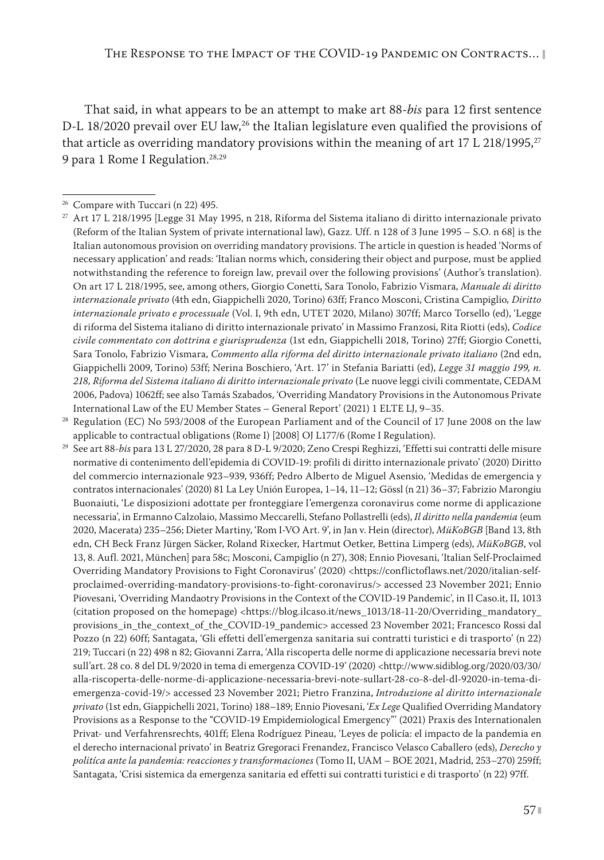That said, in what appears to be an attempt to make art 88-*bis* para 12 first sentence D-L 18/2020 prevail over EU law,<sup>26</sup> the Italian legislature even qualified the provisions of that article as overriding mandatory provisions within the meaning of art 17 L 218/1995,<sup>27</sup> 9 para 1 Rome I Regulation.<sup>28,29</sup>

<sup>28</sup> Regulation (EC) No 593/2008 of the European Parliament and of the Council of 17 June 2008 on the law applicable to contractual obligations (Rome I) [2008] OJ L177/6 (Rome I Regulation).

<sup>29</sup> See art 88-*bis* para 13 L 27/2020, 28 para 8 D-L 9/2020; Zeno Crespi Reghizzi, 'Effetti sui contratti delle misure normative di contenimento dell'epidemia di COVID-19: profili di diritto internazionale privato' (2020) Diritto del commercio internazionale 923–939, 936ff; Pedro Alberto de Miguel Asensio, 'Medidas de emergencia y contratos internacionales' (2020) 81 La Ley Unión Europea, 1–14, 11–12; Gössl (n 21) 36–37; Fabrizio Marongiu Buonaiuti, 'Le disposizioni adottate per fronteggiare l'emergenza coronavirus come norme di applicazione necessaria', in Ermanno Calzolaio, Massimo Meccarelli, Stefano Pollastrelli (eds), *Il diritto nella pandemia* (eum 2020, Macerata) 235–256; Dieter Martiny, 'Rom I-VO Art. 9', in Jan v. Hein (director), *MüKoBGB* [Band 13, 8th edn, CH Beck Franz Jürgen Säcker, Roland Rixecker, Hartmut Oetker, Bettina Limperg (eds), *MüKoBGB*, vol 13, 8. Aufl. 2021, München] para 58c; Mosconi, Campiglio (n 27), 308; Ennio Piovesani, 'Italian Self-Proclaimed Overriding Mandatory Provisions to Fight Coronavirus' (2020) <https://conflictoflaws.net/2020/italian-selfproclaimed-overriding-mandatory-provisions-to-fight-coronavirus/> accessed 23 November 2021; Ennio Piovesani, 'Overriding Mandaotry Provisions in the Context of the COVID-19 Pandemic', in Il Caso.it, II, 1013 (citation proposed on the homepage) <https://blog.ilcaso.it/news\_1013/18-11-20/Overriding\_mandatory\_ provisions\_in\_the\_context\_of\_the\_COVID-19\_pandemic> accessed 23 November 2021; Francesco Rossi dal Pozzo (n 22) 60ff; Santagata, 'Gli effetti dell'emergenza sanitaria sui contratti turistici e di trasporto' (n 22) 219; Tuccari (n 22) 498 n 82; Giovanni Zarra, 'Alla riscoperta delle norme di applicazione necessaria brevi note sull'art. 28 co. 8 del DL 9/2020 in tema di emergenza COVID-19' (2020) <http://www.sidiblog.org/2020/03/30/ alla-riscoperta-delle-norme-di-applicazione-necessaria-brevi-note-sullart-28-co-8-del-dl-92020-in-tema-diemergenza-covid-19/> accessed 23 November 2021; Pietro Franzina, *Introduzione al diritto internazionale privato* (1st edn, Giappichelli 2021, Torino) 188–189; Ennio Piovesani, '*Ex Lege* Qualified Overriding Mandatory Provisions as a Response to the "COVID-19 Empidemiological Emergency"' (2021) Praxis des Internationalen Privat- und Verfahrensrechts, 401ff; Elena Rodríguez Pineau, 'Leyes de policía: el impacto de la pandemia en el derecho internacional privato' in Beatriz Gregoraci Frenandez, Francisco Velasco Caballero (eds), *Derecho y politíca ante la pandemia: reacciones y transformaciones* (Tomo II, UAM – BOE 2021, Madrid, 253–270) 259ff; Santagata, 'Crisi sistemica da emergenza sanitaria ed effetti sui contratti turistici e di trasporto' (n 22) 97ff.

<sup>26</sup> Compare with Tuccari (n 22) 495.

<sup>27</sup> Art 17 L 218/1995 [Legge 31 May 1995, n 218, Riforma del Sistema italiano di diritto internazionale privato (Reform of the Italian System of private international law), Gazz. Uff. n 128 of 3 June 1995 – S.O. n 68] is the Italian autonomous provision on overriding mandatory provisions. The article in question is headed 'Norms of necessary application' and reads: 'Italian norms which, considering their object and purpose, must be applied notwithstanding the reference to foreign law, prevail over the following provisions' (Author's translation). On art 17 L 218/1995, see, among others, Giorgio Conetti, Sara Tonolo, Fabrizio Vismara, *Manuale di diritto internazionale privato* (4th edn, Giappichelli 2020, Torino) 63ff; Franco Mosconi, Cristina Campiglio*, Diritto internazionale privato e processuale* (Vol. I, 9th edn, UTET 2020, Milano) 307ff; Marco Torsello (ed), 'Legge di riforma del Sistema italiano di diritto internazionale privato' in Massimo Franzosi, Rita Riotti (eds), *Codice civile commentato con dottrina e giurisprudenza* (1st edn, Giappichelli 2018, Torino) 27ff; Giorgio Conetti, Sara Tonolo, Fabrizio Vismara, *Commento alla riforma del diritto internazionale privato italiano* (2nd edn, Giappichelli 2009, Torino) 53ff; Nerina Boschiero, 'Art. 17' in Stefania Bariatti (ed), *Legge 31 maggio 199, n. 218, Riforma del Sistema italiano di diritto internazionale privato* (Le nuove leggi civili commentate, CEDAM 2006, Padova) 1062ff; see also Tamás Szabados, 'Overriding Mandatory Provisions in the Autonomous Private International Law of the EU Member States – General Report' (2021) 1 ELTE LJ, 9–35.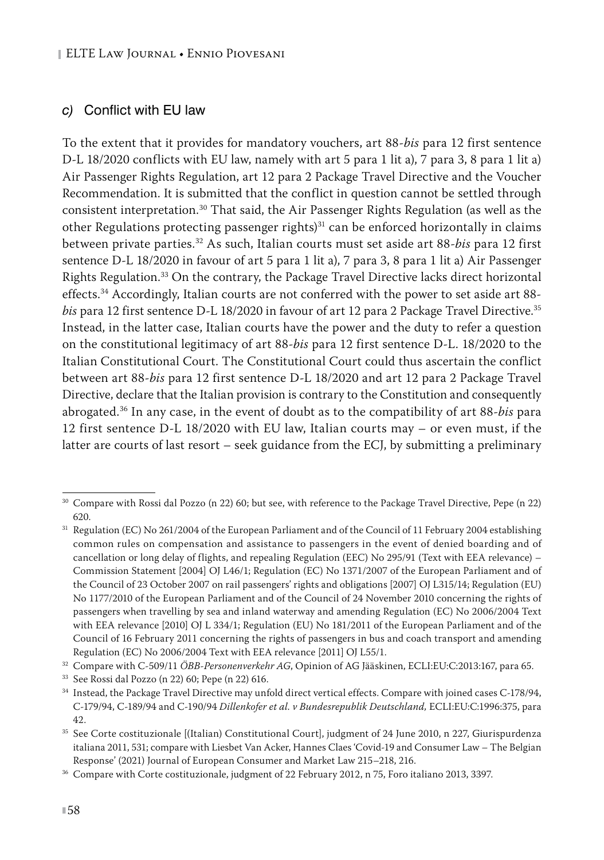#### *c)* Conflict with EU law

To the extent that it provides for mandatory vouchers, art 88-*bis* para 12 first sentence D-L 18/2020 conflicts with EU law, namely with art 5 para 1 lit a), 7 para 3, 8 para 1 lit a) Air Passenger Rights Regulation, art 12 para 2 Package Travel Directive and the Voucher Recommendation. It is submitted that the conflict in question cannot be settled through consistent interpretation.30 That said, the Air Passenger Rights Regulation (as well as the other Regulations protecting passenger rights)<sup>31</sup> can be enforced horizontally in claims between private parties.32 As such, Italian courts must set aside art 88-*bis* para 12 first sentence D-L 18/2020 in favour of art 5 para 1 lit a), 7 para 3, 8 para 1 lit a) Air Passenger Rights Regulation.33 On the contrary, the Package Travel Directive lacks direct horizontal effects.<sup>34</sup> Accordingly, Italian courts are not conferred with the power to set aside art 88*bis* para 12 first sentence D-L 18/2020 in favour of art 12 para 2 Package Travel Directive.35 Instead, in the latter case, Italian courts have the power and the duty to refer a question on the constitutional legitimacy of art 88-*bis* para 12 first sentence D-L. 18/2020 to the Italian Constitutional Court. The Constitutional Court could thus ascertain the conflict between art 88-*bis* para 12 first sentence D-L 18/2020 and art 12 para 2 Package Travel Directive, declare that the Italian provision is contrary to the Constitution and consequently abrogated.36 In any case, in the event of doubt as to the compatibility of art 88-*bis* para 12 first sentence D-L 18/2020 with EU law, Italian courts may – or even must, if the latter are courts of last resort – seek guidance from the ECJ, by submitting a preliminary

<sup>30</sup> Compare with Rossi dal Pozzo (n 22) 60; but see, with reference to the Package Travel Directive, Pepe (n 22) 620.

<sup>&</sup>lt;sup>31</sup> Regulation (EC) No 261/2004 of the European Parliament and of the Council of 11 February 2004 establishing common rules on compensation and assistance to passengers in the event of denied boarding and of cancellation or long delay of flights, and repealing Regulation (EEC) No 295/91 (Text with EEA relevance) – Commission Statement [2004] OJ L46/1; Regulation (EC) No 1371/2007 of the European Parliament and of the Council of 23 October 2007 on rail passengers' rights and obligations [2007] OJ L315/14; Regulation (EU) No 1177/2010 of the European Parliament and of the Council of 24 November 2010 concerning the rights of passengers when travelling by sea and inland waterway and amending Regulation (EC) No 2006/2004 Text with EEA relevance [2010] OJ L 334/1; Regulation (EU) No 181/2011 of the European Parliament and of the Council of 16 February 2011 concerning the rights of passengers in bus and coach transport and amending Regulation (EC) No 2006/2004 Text with EEA relevance [2011] OJ L55/1.

<sup>32</sup> Compare with C-509/11 *ÖBB-Personenverkehr AG*, Opinion of AG Jääskinen, ECLI:EU:C:2013:167, para 65.

<sup>33</sup> See Rossi dal Pozzo (n 22) 60; Pepe (n 22) 616.

<sup>34</sup> Instead, the Package Travel Directive may unfold direct vertical effects. Compare with joined cases C-178/94, C-179/94, C-189/94 and C-190/94 *Dillenkofer et al. v Bundesrepublik Deutschland,* ECLI:EU:C:1996:375, para 42.

<sup>35</sup> See Corte costituzionale [(Italian) Constitutional Court], judgment of 24 June 2010, n 227, Giurispurdenza italiana 2011, 531; compare with Liesbet Van Acker, Hannes Claes 'Covid-19 and Consumer Law – The Belgian Response' (2021) Journal of European Consumer and Market Law 215–218, 216.

<sup>&</sup>lt;sup>36</sup> Compare with Corte costituzionale, judgment of 22 February 2012, n 75, Foro italiano 2013, 3397.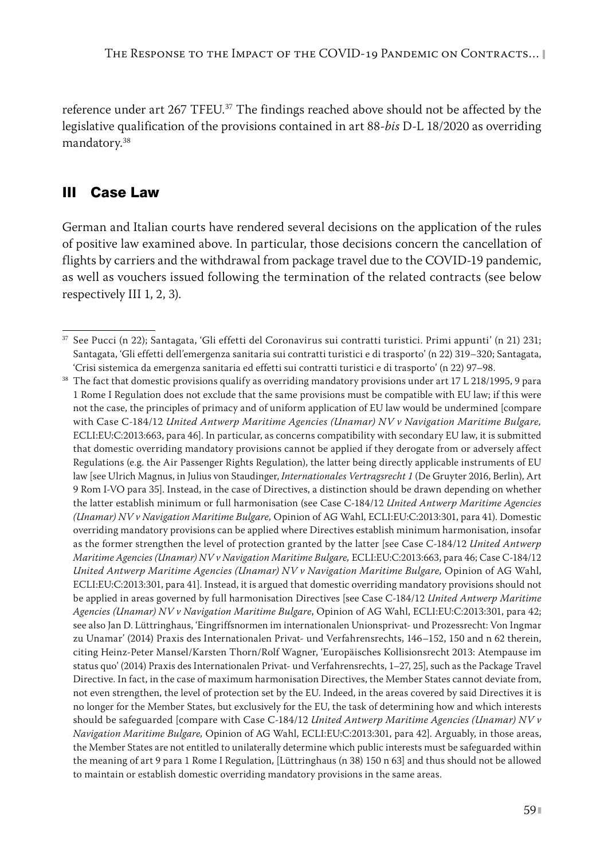reference under art 267 TFEU.<sup>37</sup> The findings reached above should not be affected by the legislative qualification of the provisions contained in art 88-*bis* D-L 18/2020 as overriding mandatory.38

#### III Case Law

German and Italian courts have rendered several decisions on the application of the rules of positive law examined above. In particular, those decisions concern the cancellation of flights by carriers and the withdrawal from package travel due to the COVID-19 pandemic, as well as vouchers issued following the termination of the related contracts (see below respectively III 1, 2, 3).

<sup>37</sup> See Pucci (n 22); Santagata, 'Gli effetti del Coronavirus sui contratti turistici. Primi appunti' (n 21) 231; Santagata, 'Gli effetti dell'emergenza sanitaria sui contratti turistici e di trasporto' (n 22) 319–320; Santagata, 'Crisi sistemica da emergenza sanitaria ed effetti sui contratti turistici e di trasporto' (n 22) 97–98.

<sup>&</sup>lt;sup>38</sup> The fact that domestic provisions qualify as overriding mandatory provisions under art 17 L 218/1995, 9 para 1 Rome I Regulation does not exclude that the same provisions must be compatible with EU law; if this were not the case, the principles of primacy and of uniform application of EU law would be undermined [compare with Case C-184/12 *United Antwerp Maritime Agencies (Unamar) NV v Navigation Maritime Bulgare,* ECLI:EU:C:2013:663, para 46]. In particular, as concerns compatibility with secondary EU law, it is submitted that domestic overriding mandatory provisions cannot be applied if they derogate from or adversely affect Regulations (e.g. the Air Passenger Rights Regulation), the latter being directly applicable instruments of EU law [see Ulrich Magnus, in Julius von Staudinger, *Internationales Vertragsrecht 1* (De Gruyter 2016, Berlin), Art 9 Rom I-VO para 35]. Instead, in the case of Directives, a distinction should be drawn depending on whether the latter establish minimum or full harmonisation (see Case C-184/12 *United Antwerp Maritime Agencies (Unamar) NV v Navigation Maritime Bulgare,* Opinion of AG Wahl, ECLI:EU:C:2013:301, para 41). Domestic overriding mandatory provisions can be applied where Directives establish minimum harmonisation, insofar as the former strengthen the level of protection granted by the latter [see Case C-184/12 *United Antwerp Maritime Agencies (Unamar) NV v Navigation Maritime Bulgare,* ECLI:EU:C:2013:663, para 46; Case C-184/12 *United Antwerp Maritime Agencies (Unamar) NV v Navigation Maritime Bulgare,* Opinion of AG Wahl, ECLI:EU:C:2013:301, para 41]. Instead, it is argued that domestic overriding mandatory provisions should not be applied in areas governed by full harmonisation Directives [see Case C-184/12 *United Antwerp Maritime Agencies (Unamar) NV v Navigation Maritime Bulgare*, Opinion of AG Wahl, ECLI:EU:C:2013:301, para 42; see also Jan D. Lüttringhaus, 'Eingriffsnormen im internationalen Unionsprivat- und Prozessrecht: Von Ingmar zu Unamar' (2014) Praxis des Internationalen Privat- und Verfahrensrechts, 146–152, 150 and n 62 therein, citing Heinz-Peter Mansel/Karsten Thorn/Rolf Wagner, 'Europäisches Kollisionsrecht 2013: Atempause im status quo' (2014) Praxis des Internationalen Privat- und Verfahrensrechts, 1–27, 25], such as the Package Travel Directive. In fact, in the case of maximum harmonisation Directives, the Member States cannot deviate from, not even strengthen, the level of protection set by the EU. Indeed, in the areas covered by said Directives it is no longer for the Member States, but exclusively for the EU, the task of determining how and which interests should be safeguarded [compare with Case C-184/12 *United Antwerp Maritime Agencies (Unamar) NV v Navigation Maritime Bulgare,* Opinion of AG Wahl, ECLI:EU:C:2013:301, para 42]. Arguably, in those areas, the Member States are not entitled to unilaterally determine which public interests must be safeguarded within the meaning of art 9 para 1 Rome I Regulation, [Lüttringhaus (n 38) 150 n 63] and thus should not be allowed to maintain or establish domestic overriding mandatory provisions in the same areas.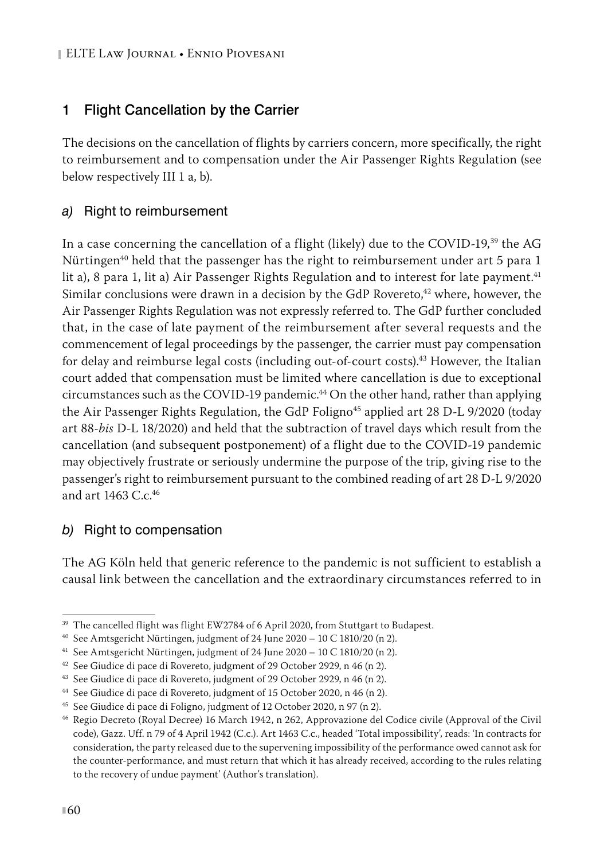## 1 Flight Cancellation by the Carrier

The decisions on the cancellation of flights by carriers concern, more specifically, the right to reimbursement and to compensation under the Air Passenger Rights Regulation (see below respectively III 1 a, b).

#### *a)* Right to reimbursement

In a case concerning the cancellation of a flight (likely) due to the COVID-19,<sup>39</sup> the AG Nürtingen<sup>40</sup> held that the passenger has the right to reimbursement under art 5 para 1 lit a), 8 para 1, lit a) Air Passenger Rights Regulation and to interest for late payment.<sup>41</sup> Similar conclusions were drawn in a decision by the GdP Rovereto, $42$  where, however, the Air Passenger Rights Regulation was not expressly referred to. The GdP further concluded that, in the case of late payment of the reimbursement after several requests and the commencement of legal proceedings by the passenger, the carrier must pay compensation for delay and reimburse legal costs (including out-of-court costs).<sup>43</sup> However, the Italian court added that compensation must be limited where cancellation is due to exceptional circumstances such as the COVID-19 pandemic.<sup>44</sup> On the other hand, rather than applying the Air Passenger Rights Regulation, the GdP Foligno<sup>45</sup> applied art 28 D-L 9/2020 (today art 88-*bis* D-L 18/2020) and held that the subtraction of travel days which result from the cancellation (and subsequent postponement) of a flight due to the COVID-19 pandemic may objectively frustrate or seriously undermine the purpose of the trip, giving rise to the passenger's right to reimbursement pursuant to the combined reading of art 28 D-L 9/2020 and art 1463 C.c.<sup>46</sup>

#### *b)* Right to compensation

The AG Köln held that generic reference to the pandemic is not sufficient to establish a causal link between the cancellation and the extraordinary circumstances referred to in

<sup>&</sup>lt;sup>39</sup> The cancelled flight was flight EW2784 of 6 April 2020, from Stuttgart to Budapest.

<sup>40</sup> See Amtsgericht Nürtingen, judgment of 24 June 2020 – 10 C 1810/20 (n 2).

<sup>41</sup> See Amtsgericht Nürtingen, judgment of 24 June 2020 – 10 C 1810/20 (n 2).

<sup>&</sup>lt;sup>42</sup> See Giudice di pace di Rovereto, judgment of 29 October 2929, n 46 (n 2).

<sup>43</sup> See Giudice di pace di Rovereto, judgment of 29 October 2929, n 46 (n 2).

<sup>44</sup> See Giudice di pace di Rovereto, judgment of 15 October 2020, n 46 (n 2).

<sup>45</sup> See Giudice di pace di Foligno, judgment of 12 October 2020, n 97 (n 2).

<sup>46</sup> Regio Decreto (Royal Decree) 16 March 1942, n 262, Approvazione del Codice civile (Approval of the Civil code), Gazz. Uff. n 79 of 4 April 1942 (C.c.). Art 1463 C.c., headed 'Total impossibility', reads: 'In contracts for consideration, the party released due to the supervening impossibility of the performance owed cannot ask for the counter-performance, and must return that which it has already received, according to the rules relating to the recovery of undue payment' (Author's translation).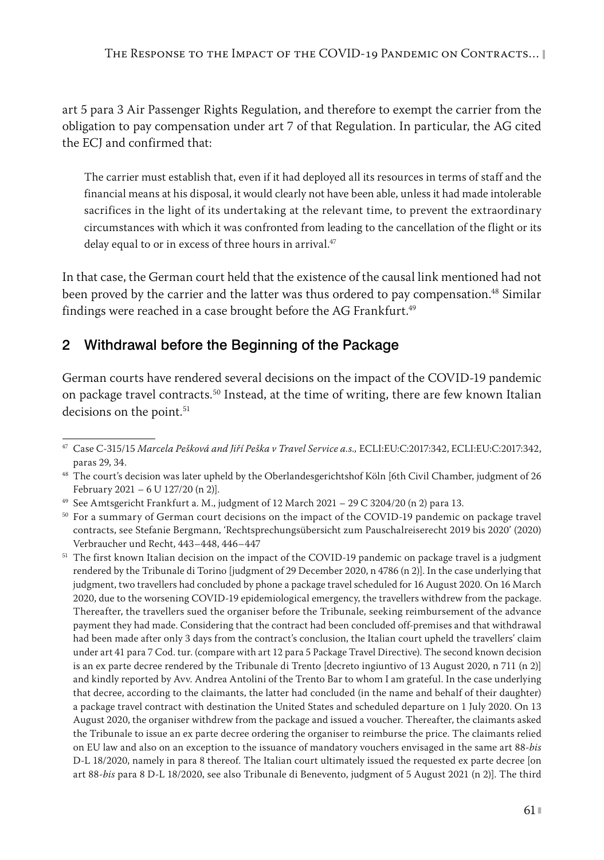art 5 para 3 Air Passenger Rights Regulation, and therefore to exempt the carrier from the obligation to pay compensation under art 7 of that Regulation. In particular, the AG cited the ECJ and confirmed that:

The carrier must establish that, even if it had deployed all its resources in terms of staff and the financial means at his disposal, it would clearly not have been able, unless it had made intolerable sacrifices in the light of its undertaking at the relevant time, to prevent the extraordinary circumstances with which it was confronted from leading to the cancellation of the flight or its delay equal to or in excess of three hours in arrival.<sup>47</sup>

In that case, the German court held that the existence of the causal link mentioned had not been proved by the carrier and the latter was thus ordered to pay compensation.<sup>48</sup> Similar findings were reached in a case brought before the AG Frankfurt.<sup>49</sup>

## 2 Withdrawal before the Beginning of the Package

German courts have rendered several decisions on the impact of the COVID-19 pandemic on package travel contracts.50 Instead, at the time of writing, there are few known Italian decisions on the point.<sup>51</sup>

<sup>47</sup> Case C-315/15 *Marcela Pešková and Jiří Peška v Travel Service a.s.,* ECLI:EU:C:2017:342, ECLI:EU:C:2017:342, paras 29, 34.

<sup>&</sup>lt;sup>48</sup> The court's decision was later upheld by the Oberlandesgerichtshof Köln [6th Civil Chamber, judgment of 26 February 2021 – 6 U 127/20 (n 2)].

<sup>&</sup>lt;sup>49</sup> See Amtsgericht Frankfurt a. M., judgment of  $12$  March  $2021 - 29$  C  $3204/20$  (n 2) para 13.

<sup>&</sup>lt;sup>50</sup> For a summary of German court decisions on the impact of the COVID-19 pandemic on package travel contracts, see Stefanie Bergmann, 'Rechtsprechungsübersicht zum Pauschalreiserecht 2019 bis 2020' (2020) Verbraucher und Recht, 443–448, 446–447

<sup>&</sup>lt;sup>51</sup> The first known Italian decision on the impact of the COVID-19 pandemic on package travel is a judgment rendered by the Tribunale di Torino [judgment of 29 December 2020, n 4786 (n 2)]. In the case underlying that judgment, two travellers had concluded by phone a package travel scheduled for 16 August 2020. On 16 March 2020, due to the worsening COVID-19 epidemiological emergency, the travellers withdrew from the package. Thereafter, the travellers sued the organiser before the Tribunale, seeking reimbursement of the advance payment they had made. Considering that the contract had been concluded off-premises and that withdrawal had been made after only 3 days from the contract's conclusion, the Italian court upheld the travellers' claim under art 41 para 7 Cod. tur. (compare with art 12 para 5 Package Travel Directive). The second known decision is an ex parte decree rendered by the Tribunale di Trento [decreto ingiuntivo of 13 August 2020, n 711 (n 2)] and kindly reported by Avv. Andrea Antolini of the Trento Bar to whom I am grateful. In the case underlying that decree, according to the claimants, the latter had concluded (in the name and behalf of their daughter) a package travel contract with destination the United States and scheduled departure on 1 July 2020. On 13 August 2020, the organiser withdrew from the package and issued a voucher. Thereafter, the claimants asked the Tribunale to issue an ex parte decree ordering the organiser to reimburse the price. The claimants relied on EU law and also on an exception to the issuance of mandatory vouchers envisaged in the same art 88-*bis*  D-L 18/2020, namely in para 8 thereof. The Italian court ultimately issued the requested ex parte decree [on art 88-*bis* para 8 D-L 18/2020, see also Tribunale di Benevento, judgment of 5 August 2021 (n 2)]. The third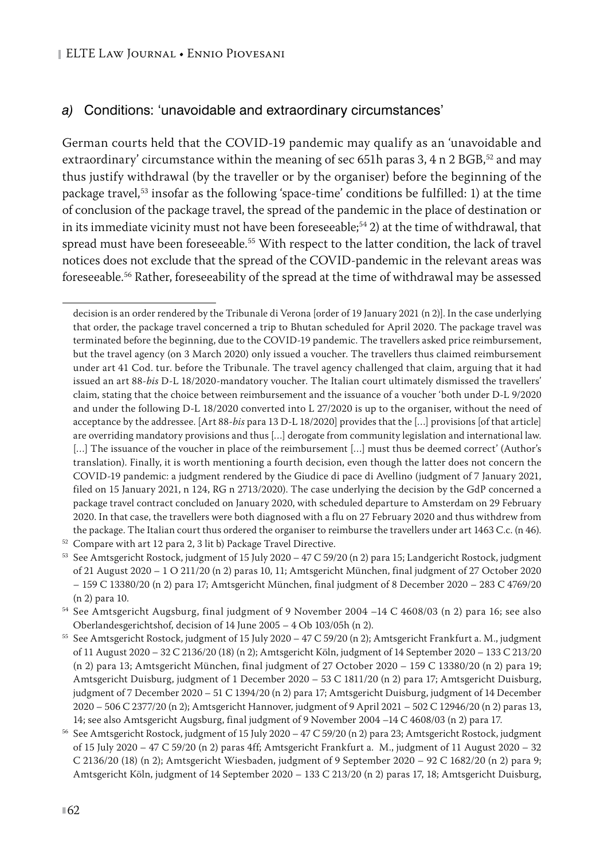#### *a)* Conditions: 'unavoidable and extraordinary circumstances'

German courts held that the COVID-19 pandemic may qualify as an 'unavoidable and extraordinary' circumstance within the meaning of sec 651h paras 3, 4 n 2 BGB,<sup>52</sup> and may thus justify withdrawal (by the traveller or by the organiser) before the beginning of the package travel,<sup>53</sup> insofar as the following 'space-time' conditions be fulfilled: 1) at the time of conclusion of the package travel, the spread of the pandemic in the place of destination or in its immediate vicinity must not have been foreseeable;<sup>54</sup> 2) at the time of withdrawal, that spread must have been foreseeable.<sup>55</sup> With respect to the latter condition, the lack of travel notices does not exclude that the spread of the COVID-pandemic in the relevant areas was foreseeable.56 Rather, foreseeability of the spread at the time of withdrawal may be assessed

<sup>52</sup> Compare with art 12 para 2, 3 lit b) Package Travel Directive.

decision is an order rendered by the Tribunale di Verona [order of 19 January 2021 (n 2)]. In the case underlying that order, the package travel concerned a trip to Bhutan scheduled for April 2020. The package travel was terminated before the beginning, due to the COVID-19 pandemic. The travellers asked price reimbursement, but the travel agency (on 3 March 2020) only issued a voucher. The travellers thus claimed reimbursement under art 41 Cod. tur. before the Tribunale. The travel agency challenged that claim, arguing that it had issued an art 88-*bis* D-L 18/2020-mandatory voucher. The Italian court ultimately dismissed the travellers' claim, stating that the choice between reimbursement and the issuance of a voucher 'both under D-L 9/2020 and under the following D-L 18/2020 converted into L 27/2020 is up to the organiser, without the need of acceptance by the addressee. [Art 88-*bis* para 13 D-L 18/2020] provides that the […] provisions [of that article] are overriding mandatory provisions and thus […] derogate from community legislation and international law. [...] The issuance of the voucher in place of the reimbursement [...] must thus be deemed correct' (Author's translation). Finally, it is worth mentioning a fourth decision, even though the latter does not concern the COVID-19 pandemic: a judgment rendered by the Giudice di pace di Avellino (judgment of 7 January 2021, filed on 15 January 2021, n 124, RG n 2713/2020). The case underlying the decision by the GdP concerned a package travel contract concluded on January 2020, with scheduled departure to Amsterdam on 29 February 2020. In that case, the travellers were both diagnosed with a flu on 27 February 2020 and thus withdrew from the package. The Italian court thus ordered the organiser to reimburse the travellers under art 1463 C.c. (n 46).

<sup>53</sup> See Amtsgericht Rostock, judgment of 15 July 2020 – 47 C 59/20 (n 2) para 15; Landgericht Rostock, judgment of 21 August 2020 – 1 O 211/20 (n 2) paras 10, 11; Amtsgericht München, final judgment of 27 October 2020 – 159 C 13380/20 (n 2) para 17; Amtsgericht München, final judgment of 8 December 2020 – 283 C 4769/20 (n 2) para 10.

<sup>54</sup> See Amtsgericht Augsburg, final judgment of 9 November 2004 –14 C 4608/03 (n 2) para 16; see also Oberlandesgerichtshof, decision of 14 June 2005 – 4 Ob 103/05h (n 2).

<sup>55</sup> See Amtsgericht Rostock, judgment of 15 July 2020 – 47 C 59/20 (n 2); Amtsgericht Frankfurt a. M., judgment of 11 August 2020 – 32 C 2136/20 (18) (n 2); Amtsgericht Köln, judgment of 14 September 2020 – 133 C 213/20 (n 2) para 13; Amtsgericht München, final judgment of 27 October 2020 – 159 C 13380/20 (n 2) para 19; Amtsgericht Duisburg, judgment of 1 December 2020 – 53 C 1811/20 (n 2) para 17; Amtsgericht Duisburg, judgment of 7 December 2020 – 51 C 1394/20 (n 2) para 17; Amtsgericht Duisburg, judgment of 14 December 2020 – 506 C 2377/20 (n 2); Amtsgericht Hannover, judgment of 9 April 2021 – 502 C 12946/20 (n 2) paras 13, 14; see also Amtsgericht Augsburg, final judgment of 9 November 2004 –14 C 4608/03 (n 2) para 17.

<sup>56</sup> See Amtsgericht Rostock, judgment of 15 July 2020 – 47 C 59/20 (n 2) para 23; Amtsgericht Rostock, judgment of 15 July 2020 – 47 C 59/20 (n 2) paras 4ff; Amtsgericht Frankfurt a. M., judgment of 11 August 2020 – 32 C 2136/20 (18) (n 2); Amtsgericht Wiesbaden, judgment of 9 September 2020 – 92 C 1682/20 (n 2) para 9; Amtsgericht Köln, judgment of 14 September 2020 – 133 C 213/20 (n 2) paras 17, 18; Amtsgericht Duisburg,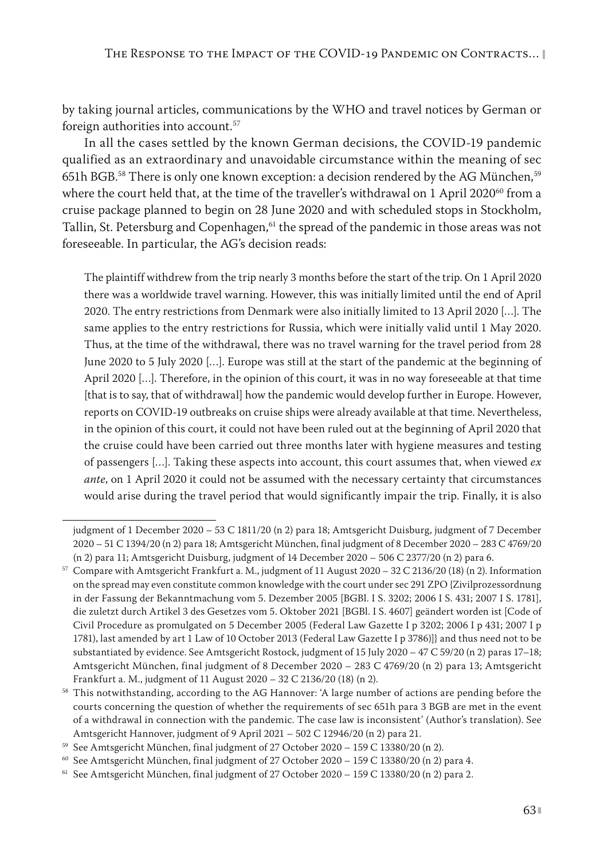by taking journal articles, communications by the WHO and travel notices by German or foreign authorities into account.<sup>57</sup>

In all the cases settled by the known German decisions, the COVID-19 pandemic qualified as an extraordinary and unavoidable circumstance within the meaning of sec 651h BGB.58 There is only one known exception: a decision rendered by the AG München,59 where the court held that, at the time of the traveller's withdrawal on 1 April 2020 $^{60}$  from a cruise package planned to begin on 28 June 2020 and with scheduled stops in Stockholm, Tallin, St. Petersburg and Copenhagen,<sup>61</sup> the spread of the pandemic in those areas was not foreseeable. In particular, the AG's decision reads:

The plaintiff withdrew from the trip nearly 3 months before the start of the trip. On 1 April 2020 there was a worldwide travel warning. However, this was initially limited until the end of April 2020. The entry restrictions from Denmark were also initially limited to 13 April 2020 […]. The same applies to the entry restrictions for Russia, which were initially valid until 1 May 2020. Thus, at the time of the withdrawal, there was no travel warning for the travel period from 28 June 2020 to 5 July 2020 […]. Europe was still at the start of the pandemic at the beginning of April 2020 […]. Therefore, in the opinion of this court, it was in no way foreseeable at that time [that is to say, that of withdrawal] how the pandemic would develop further in Europe. However, reports on COVID-19 outbreaks on cruise ships were already available at that time. Nevertheless, in the opinion of this court, it could not have been ruled out at the beginning of April 2020 that the cruise could have been carried out three months later with hygiene measures and testing of passengers […]. Taking these aspects into account, this court assumes that, when viewed *ex ante*, on 1 April 2020 it could not be assumed with the necessary certainty that circumstances would arise during the travel period that would significantly impair the trip. Finally, it is also

judgment of 1 December 2020 – 53 C 1811/20 (n 2) para 18; Amtsgericht Duisburg, judgment of 7 December 2020 – 51 C 1394/20 (n 2) para 18; Amtsgericht München, final judgment of 8 December 2020 – 283 C 4769/20 (n 2) para 11; Amtsgericht Duisburg, judgment of 14 December 2020 – 506 C 2377/20 (n 2) para 6.

 $57$  Compare with Amtsgericht Frankfurt a. M., judgment of 11 August 2020 – 32 C 2136/20 (18) (n 2). Information on the spread may even constitute common knowledge with the court under sec 291 ZPO {Zivilprozessordnung in der Fassung der Bekanntmachung vom 5. Dezember 2005 [BGBl. I S. 3202; 2006 I S. 431; 2007 I S. 1781], die zuletzt durch Artikel 3 des Gesetzes vom 5. Oktober 2021 [BGBl. I S. 4607] geändert worden ist [Code of Civil Procedure as promulgated on 5 December 2005 (Federal Law Gazette I p 3202; 2006 I p 431; 2007 I p 1781), last amended by art 1 Law of 10 October 2013 (Federal Law Gazette I p 3786)]} and thus need not to be substantiated by evidence. See Amtsgericht Rostock, judgment of 15 July 2020 – 47 C 59/20 (n 2) paras 17–18; Amtsgericht München, final judgment of 8 December 2020 – 283 C 4769/20 (n 2) para 13; Amtsgericht Frankfurt a. M., judgment of 11 August 2020 – 32 C 2136/20 (18) (n 2).

<sup>58</sup> This notwithstanding, according to the AG Hannover: 'A large number of actions are pending before the courts concerning the question of whether the requirements of sec 651h para 3 BGB are met in the event of a withdrawal in connection with the pandemic. The case law is inconsistent' (Author's translation). See Amtsgericht Hannover, judgment of 9 April 2021 – 502 C 12946/20 (n 2) para 21.

<sup>59</sup> See Amtsgericht München, final judgment of 27 October 2020 – 159 C 13380/20 (n 2).

<sup>&</sup>lt;sup>60</sup> See Amtsgericht München, final judgment of 27 October 2020 – 159 C 13380/20 (n 2) para 4.

 $61$  See Amtsgericht München, final judgment of 27 October 2020 - 159 C 13380/20 (n 2) para 2.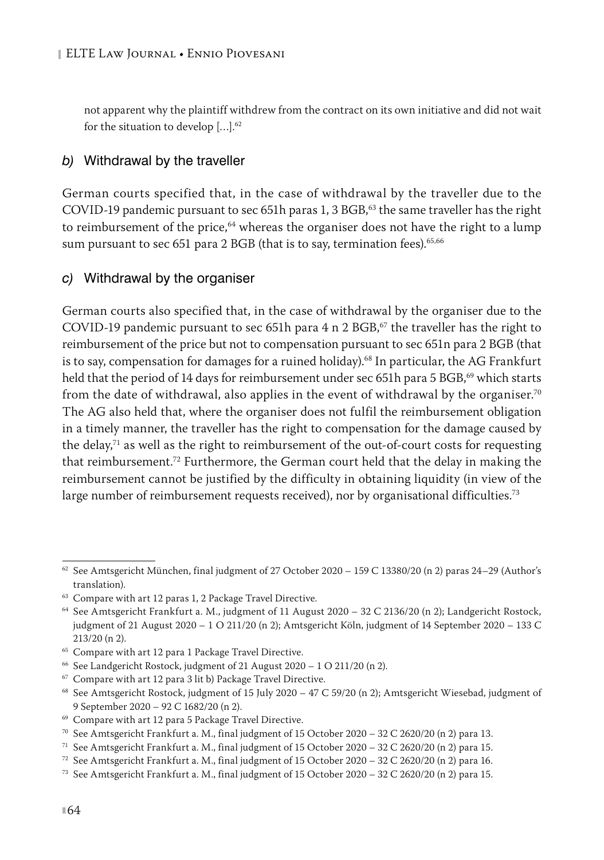not apparent why the plaintiff withdrew from the contract on its own initiative and did not wait for the situation to develop […].62

#### *b)* Withdrawal by the traveller

German courts specified that, in the case of withdrawal by the traveller due to the COVID-19 pandemic pursuant to sec 651h paras 1, 3 BGB,<sup>63</sup> the same traveller has the right to reimbursement of the price,<sup>64</sup> whereas the organiser does not have the right to a lump sum pursuant to sec 651 para 2 BGB (that is to say, termination fees).<sup>65,66</sup>

#### *c)* Withdrawal by the organiser

German courts also specified that, in the case of withdrawal by the organiser due to the COVID-19 pandemic pursuant to sec 651h para  $4$  n 2 BGB,<sup>67</sup> the traveller has the right to reimbursement of the price but not to compensation pursuant to sec 651n para 2 BGB (that is to say, compensation for damages for a ruined holiday).<sup>68</sup> In particular, the AG Frankfurt held that the period of 14 days for reimbursement under sec 651h para 5 BGB,<sup>69</sup> which starts from the date of withdrawal, also applies in the event of withdrawal by the organiser.<sup>70</sup> The AG also held that, where the organiser does not fulfil the reimbursement obligation in a timely manner, the traveller has the right to compensation for the damage caused by the delay, $71$  as well as the right to reimbursement of the out-of-court costs for requesting that reimbursement.72 Furthermore, the German court held that the delay in making the reimbursement cannot be justified by the difficulty in obtaining liquidity (in view of the large number of reimbursement requests received), nor by organisational difficulties.<sup>73</sup>

 $62$  See Amtsgericht München, final judgment of 27 October 2020 – 159 C 13380/20 (n 2) paras 24–29 (Author's translation).

<sup>63</sup> Compare with art 12 paras 1, 2 Package Travel Directive.

<sup>64</sup> See Amtsgericht Frankfurt a. M., judgment of 11 August 2020 – 32 C 2136/20 (n 2); Landgericht Rostock, judgment of 21 August 2020 – 1 O 211/20 (n 2); Amtsgericht Köln, judgment of 14 September 2020 – 133 C 213/20 (n 2).

<sup>65</sup> Compare with art 12 para 1 Package Travel Directive.

 $66$  See Landgericht Rostock, judgment of 21 August 2020 - 1 O 211/20 (n 2).

<sup>67</sup> Compare with art 12 para 3 lit b) Package Travel Directive.

<sup>&</sup>lt;sup>68</sup> See Amtsgericht Rostock, judgment of 15 July 2020 - 47 C 59/20 (n 2); Amtsgericht Wiesebad, judgment of 9 September 2020 – 92 C 1682/20 (n 2).

<sup>69</sup> Compare with art 12 para 5 Package Travel Directive.

<sup>70</sup> See Amtsgericht Frankfurt a. M., final judgment of 15 October 2020 – 32 C 2620/20 (n 2) para 13.

<sup>&</sup>lt;sup>71</sup> See Amtsgericht Frankfurt a. M., final judgment of 15 October 2020 – 32 C 2620/20 (n 2) para 15.

<sup>&</sup>lt;sup>72</sup> See Amtsgericht Frankfurt a. M., final judgment of 15 October 2020 – 32 C 2620/20 (n 2) para 16.

<sup>&</sup>lt;sup>73</sup> See Amtsgericht Frankfurt a. M., final judgment of 15 October 2020 - 32 C 2620/20 (n 2) para 15.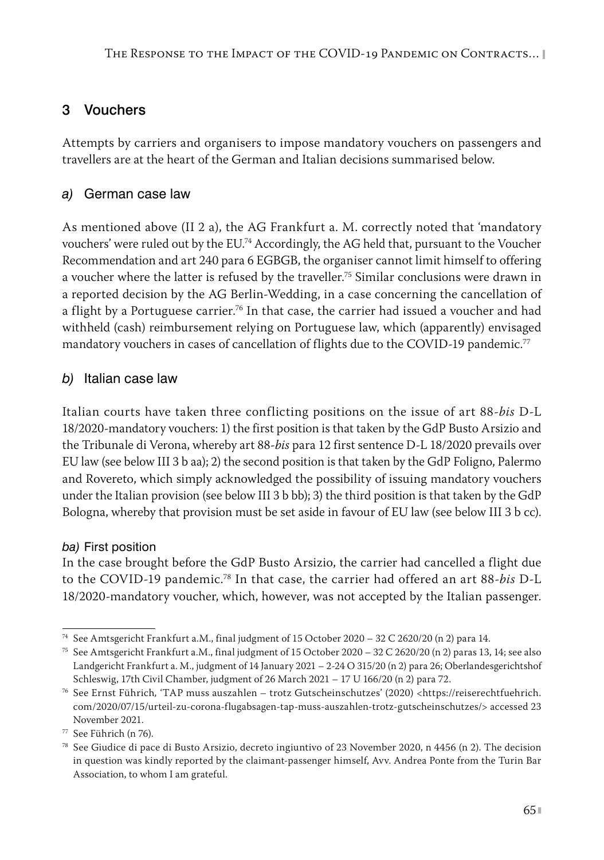# 3 Vouchers

Attempts by carriers and organisers to impose mandatory vouchers on passengers and travellers are at the heart of the German and Italian decisions summarised below.

## *a)* German case law

As mentioned above (II 2 a), the AG Frankfurt a. M. correctly noted that 'mandatory vouchers' were ruled out by the EU.74 Accordingly, the AG held that, pursuant to the Voucher Recommendation and art 240 para 6 EGBGB, the organiser cannot limit himself to offering a voucher where the latter is refused by the traveller.<sup>75</sup> Similar conclusions were drawn in a reported decision by the AG Berlin-Wedding, in a case concerning the cancellation of a flight by a Portuguese carrier.<sup>76</sup> In that case, the carrier had issued a voucher and had withheld (cash) reimbursement relying on Portuguese law, which (apparently) envisaged mandatory vouchers in cases of cancellation of flights due to the COVID-19 pandemic.<sup>77</sup>

#### *b)* Italian case law

Italian courts have taken three conflicting positions on the issue of art 88-*bis* D-L 18/2020-mandatory vouchers: 1) the first position is that taken by the GdP Busto Arsizio and the Tribunale di Verona, whereby art 88-*bis* para 12 first sentence D-L 18/2020 prevails over EU law (see below III 3 b aa); 2) the second position is that taken by the GdP Foligno, Palermo and Rovereto, which simply acknowledged the possibility of issuing mandatory vouchers under the Italian provision (see below III 3 b bb); 3) the third position is that taken by the GdP Bologna, whereby that provision must be set aside in favour of EU law (see below III 3 b cc).

#### *ba)* First position

In the case brought before the GdP Busto Arsizio, the carrier had cancelled a flight due to the COVID-19 pandemic.78 In that case, the carrier had offered an art 88-*bis* D-L 18/2020-mandatory voucher, which, however, was not accepted by the Italian passenger.

<sup>74</sup> See Amtsgericht Frankfurt a.M., final judgment of 15 October 2020 – 32 C 2620/20 (n 2) para 14.

<sup>75</sup> See Amtsgericht Frankfurt a.M., final judgment of 15 October 2020 – 32 C 2620/20 (n 2) paras 13, 14; see also Landgericht Frankfurt a. M., judgment of 14 January 2021 – 2-24 O 315/20 (n 2) para 26; Oberlandesgerichtshof Schleswig, 17th Civil Chamber, judgment of 26 March 2021 – 17 U 166/20 (n 2) para 72.

<sup>76</sup> See Ernst Führich*,* 'TAP muss auszahlen – trotz Gutscheinschutzes' (2020) <https://reiserechtfuehrich. com/2020/07/15/urteil-zu-corona-flugabsagen-tap-muss-auszahlen-trotz-gutscheinschutzes/> accessed 23 November 2021.

<sup>77</sup> See Führich (n 76).

<sup>78</sup> See Giudice di pace di Busto Arsizio, decreto ingiuntivo of 23 November 2020, n 4456 (n 2). The decision in question was kindly reported by the claimant-passenger himself, Avv. Andrea Ponte from the Turin Bar Association, to whom I am grateful.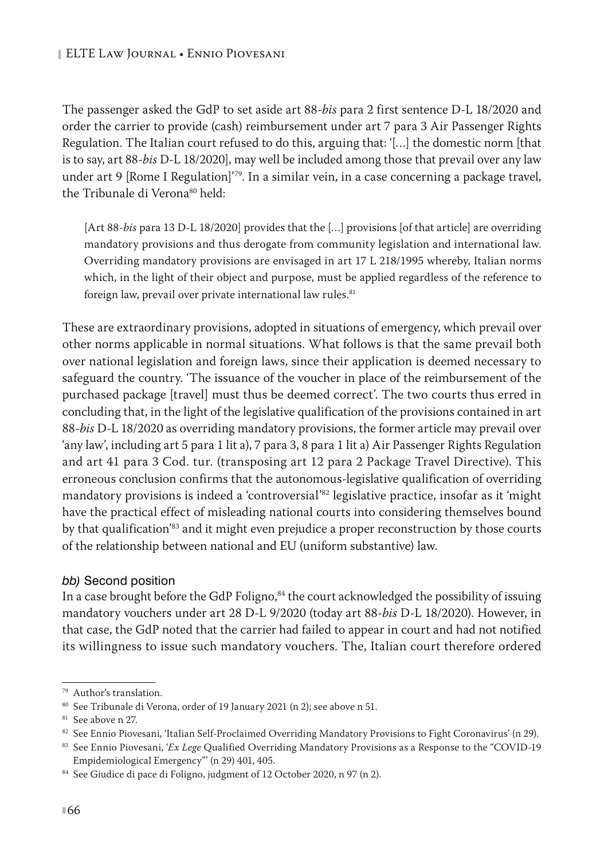The passenger asked the GdP to set aside art 88-*bis* para 2 first sentence D-L 18/2020 and order the carrier to provide (cash) reimbursement under art 7 para 3 Air Passenger Rights Regulation. The Italian court refused to do this, arguing that: '[…] the domestic norm [that is to say, art 88-*bis* D-L 18/2020], may well be included among those that prevail over any law under art 9 [Rome I Regulation]<sup>'79</sup>. In a similar vein, in a case concerning a package travel, the Tribunale di Verona<sup>80</sup> held:

[Art 88-bis para 13 D-L 18/2020] provides that the [...] provisions [of that article] are overriding mandatory provisions and thus derogate from community legislation and international law. Overriding mandatory provisions are envisaged in art 17 L 218/1995 whereby, Italian norms which, in the light of their object and purpose, must be applied regardless of the reference to foreign law, prevail over private international law rules. $81$ 

These are extraordinary provisions, adopted in situations of emergency, which prevail over other norms applicable in normal situations. What follows is that the same prevail both over national legislation and foreign laws, since their application is deemed necessary to safeguard the country. 'The issuance of the voucher in place of the reimbursement of the purchased package [travel] must thus be deemed correct'. The two courts thus erred in concluding that, in the light of the legislative qualification of the provisions contained in art 88-*bis* D-L 18/2020 as overriding mandatory provisions, the former article may prevail over 'any law', including art 5 para 1 lit a), 7 para 3, 8 para 1 lit a) Air Passenger Rights Regulation and art 41 para 3 Cod. tur. (transposing art 12 para 2 Package Travel Directive). This erroneous conclusion confirms that the autonomous-legislative qualification of overriding mandatory provisions is indeed a 'controversial'82 legislative practice, insofar as it 'might have the practical effect of misleading national courts into considering themselves bound by that qualification<sup>'83</sup> and it might even prejudice a proper reconstruction by those courts of the relationship between national and EU (uniform substantive) law.

#### *bb)* Second position

In a case brought before the GdP Foligno,<sup>84</sup> the court acknowledged the possibility of issuing mandatory vouchers under art 28 D-L 9/2020 (today art 88-*bis* D-L 18/2020). However, in that case, the GdP noted that the carrier had failed to appear in court and had not notified its willingness to issue such mandatory vouchers. The, Italian court therefore ordered

<sup>79</sup> Author's translation.

<sup>80</sup> See Tribunale di Verona, order of 19 January 2021 (n 2); see above n 51.

<sup>&</sup>lt;sup>81</sup> See above n 27.

<sup>82</sup> See Ennio Piovesani, 'Italian Self-Proclaimed Overriding Mandatory Provisions to Fight Coronavirus' (n 29).

<sup>83</sup> See Ennio Piovesani, '*Ex Lege* Qualified Overriding Mandatory Provisions as a Response to the "COVID-19 Empidemiological Emergency"' (n 29) 401, 405.

<sup>84</sup> See Giudice di pace di Foligno, judgment of 12 October 2020, n 97 (n 2).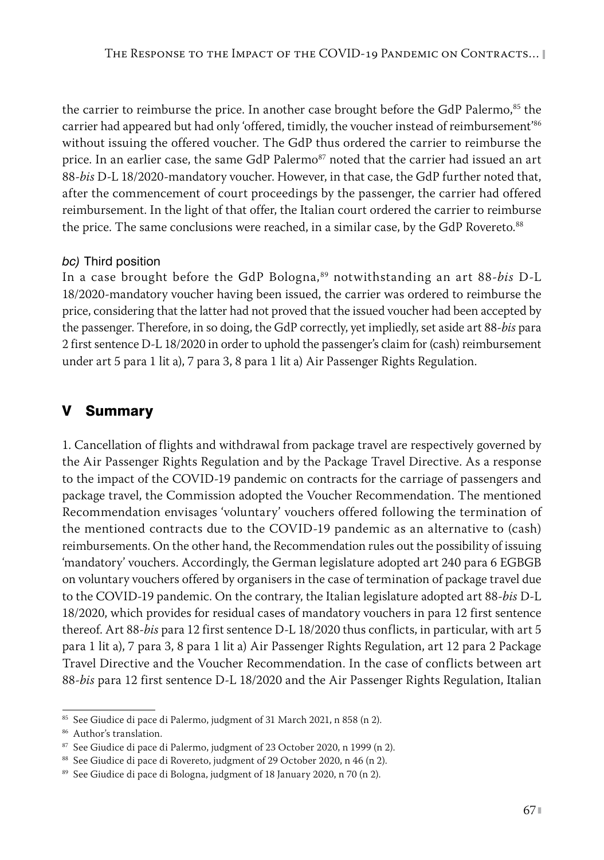the carrier to reimburse the price. In another case brought before the GdP Palermo, $85$  the carrier had appeared but had only 'offered, timidly, the voucher instead of reimbursement'<sup>86</sup> without issuing the offered voucher. The GdP thus ordered the carrier to reimburse the price. In an earlier case, the same GdP Palermo<sup>87</sup> noted that the carrier had issued an art 88-*bis* D-L 18/2020-mandatory voucher. However, in that case, the GdP further noted that, after the commencement of court proceedings by the passenger, the carrier had offered reimbursement. In the light of that offer, the Italian court ordered the carrier to reimburse the price. The same conclusions were reached, in a similar case, by the GdP Rovereto.<sup>88</sup>

#### *bc)* Third position

In a case brought before the GdP Bologna,<sup>89</sup> notwithstanding an art 88-bis D-L 18/2020-mandatory voucher having been issued, the carrier was ordered to reimburse the price, considering that the latter had not proved that the issued voucher had been accepted by the passenger. Therefore, in so doing, the GdP correctly, yet impliedly, set aside art 88-*bis* para 2 first sentence D-L 18/2020 in order to uphold the passenger's claim for (cash) reimbursement under art 5 para 1 lit a), 7 para 3, 8 para 1 lit a) Air Passenger Rights Regulation.

# V Summary

1. Cancellation of flights and withdrawal from package travel are respectively governed by the Air Passenger Rights Regulation and by the Package Travel Directive. As a response to the impact of the COVID-19 pandemic on contracts for the carriage of passengers and package travel, the Commission adopted the Voucher Recommendation. The mentioned Recommendation envisages 'voluntary' vouchers offered following the termination of the mentioned contracts due to the COVID-19 pandemic as an alternative to (cash) reimbursements. On the other hand, the Recommendation rules out the possibility of issuing 'mandatory' vouchers. Accordingly, the German legislature adopted art 240 para 6 EGBGB on voluntary vouchers offered by organisers in the case of termination of package travel due to the COVID-19 pandemic. On the contrary, the Italian legislature adopted art 88-*bis* D-L 18/2020, which provides for residual cases of mandatory vouchers in para 12 first sentence thereof. Art 88-*bis* para 12 first sentence D-L 18/2020 thus conflicts, in particular, with art 5 para 1 lit a), 7 para 3, 8 para 1 lit a) Air Passenger Rights Regulation, art 12 para 2 Package Travel Directive and the Voucher Recommendation. In the case of conflicts between art 88-*bis* para 12 first sentence D-L 18/2020 and the Air Passenger Rights Regulation, Italian

<sup>85</sup> See Giudice di pace di Palermo, judgment of 31 March 2021, n 858 (n 2).

<sup>86</sup> Author's translation.

<sup>87</sup> See Giudice di pace di Palermo, judgment of 23 October 2020, n 1999 (n 2).

<sup>&</sup>lt;sup>88</sup> See Giudice di pace di Rovereto, judgment of 29 October 2020, n 46 (n 2).

<sup>89</sup> See Giudice di pace di Bologna, judgment of 18 January 2020, n 70 (n 2).